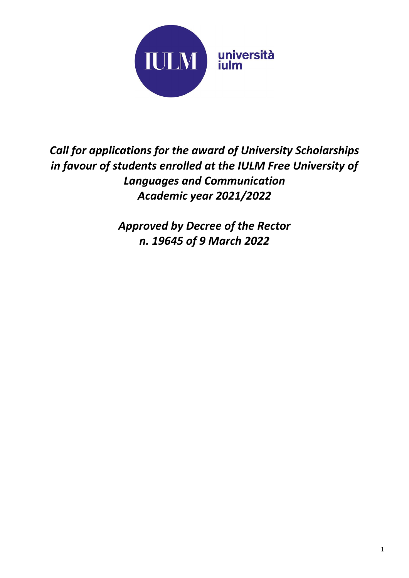

*Call for applications for the award of University Scholarships in favour of students enrolled at the IULM Free University of Languages and Communication Academic year 2021/2022*

> *Approved by Decree of the Rector n. 19645 of 9 March 2022*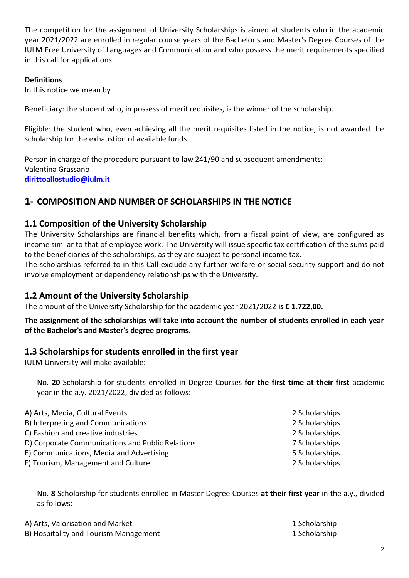The competition for the assignment of University Scholarships is aimed at students who in the academic year 2021/2022 are enrolled in regular course years of the Bachelor's and Master's Degree Courses of the IULM Free University of Languages and Communication and who possess the merit requirements specified in this call for applications.

#### **Definitions**

In this notice we mean by

Beneficiary: the student who, in possess of merit requisites, is the winner of the scholarship.

Eligible: the student who, even achieving all the merit requisites listed in the notice, is not awarded the scholarship for the exhaustion of available funds.

Person in charge of the procedure pursuant to law 241/90 and subsequent amendments: Valentina Grassano **[dirittoallostudio@iulm.it](mailto:dirittoallostudio@iulm.it)**

## **1- COMPOSITION AND NUMBER OF SCHOLARSHIPS IN THE NOTICE**

#### **1.1 Composition of the University Scholarship**

The University Scholarships are financial benefits which, from a fiscal point of view, are configured as income similar to that of employee work. The University will issue specific tax certification of the sums paid to the beneficiaries of the scholarships, as they are subject to personal income tax.

The scholarships referred to in this Call exclude any further welfare or social security support and do not involve employment or dependency relationships with the University.

## **1.2 Amount of the University Scholarship**

The amount of the University Scholarship for the academic year 2021/2022 **is € 1.722,00.**

#### **The assignment of the scholarships will take into account the number of students enrolled in each year of the Bachelor's and Master's degree programs.**

#### **1.3 Scholarships for students enrolled in the first year**

IULM University will make available:

- No. **20** Scholarship for students enrolled in Degree Courses **for the first time at their first** academic year in the a.y. 2021/2022, divided as follows:

| A) Arts, Media, Cultural Events                  | 2 Scholarships |
|--------------------------------------------------|----------------|
| B) Interpreting and Communications               | 2 Scholarships |
| C) Fashion and creative industries               | 2 Scholarships |
| D) Corporate Communications and Public Relations | 7 Scholarships |
| E) Communications, Media and Advertising         | 5 Scholarships |
| F) Tourism, Management and Culture               | 2 Scholarships |

- No. **8** Scholarship for students enrolled in Master Degree Courses **at their first year** in the a.y., divided as follows:

| A) Arts, Valorisation and Market      | 1 Scholarship |
|---------------------------------------|---------------|
| B) Hospitality and Tourism Management | 1 Scholarship |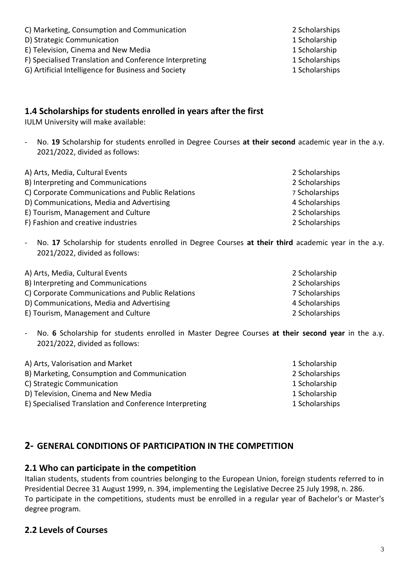C) Marketing, Consumption and Communication 2 Scholarships

D) Strategic Communication 1 Scholarship

E) Television, Cinema and New Media 1 Scholarship

F) Specialised Translation and Conference Interpreting 1 Scholarships

G) Artificial Intelligence for Business and Society 15 and 15 and 15 and 15 and 15 and 15 and 15 and 15 and 15 and 15 and 15 and 15 and 15 and 15 and 15 and 15 and 15 and 15 and 15 and 15 and 15 and 15 and 15 and 15 and 15

#### **1.4 Scholarships for students enrolled in years after the first**

IULM University will make available:

- No. **19** Scholarship for students enrolled in Degree Courses **at their second** academic year in the a.y. 2021/2022, divided as follows:

| A) Arts, Media, Cultural Events                  | 2 Scholarships |
|--------------------------------------------------|----------------|
| B) Interpreting and Communications               | 2 Scholarships |
| C) Corporate Communications and Public Relations | 7 Scholarships |
| D) Communications, Media and Advertising         | 4 Scholarships |
| E) Tourism, Management and Culture               | 2 Scholarships |
| F) Fashion and creative industries               | 2 Scholarships |

- No. **17** Scholarship for students enrolled in Degree Courses **at their third** academic year in the a.y. 2021/2022, divided as follows:

| A) Arts, Media, Cultural Events                  | 2 Scholarship  |
|--------------------------------------------------|----------------|
| B) Interpreting and Communications               | 2 Scholarships |
| C) Corporate Communications and Public Relations | 7 Scholarships |
| D) Communications, Media and Advertising         | 4 Scholarships |
| E) Tourism, Management and Culture               | 2 Scholarships |

- No. **6** Scholarship for students enrolled in Master Degree Courses **at their second year** in the a.y. 2021/2022, divided as follows:

| A) Arts, Valorisation and Market                       | 1 Scholarship  |
|--------------------------------------------------------|----------------|
| B) Marketing, Consumption and Communication            | 2 Scholarships |
| C) Strategic Communication                             | 1 Scholarship  |
| D) Television, Cinema and New Media                    | 1 Scholarship  |
| E) Specialised Translation and Conference Interpreting | 1 Scholarships |

# **2- GENERAL CONDITIONS OF PARTICIPATION IN THE COMPETITION**

## **2.1 Who can participate in the competition**

Italian students, students from countries belonging to the European Union, foreign students referred to in Presidential Decree 31 August 1999, n. 394, implementing the Legislative Decree 25 July 1998, n. 286. To participate in the competitions, students must be enrolled in a regular year of Bachelor's or Master's degree program.

# **2.2 Levels of Courses**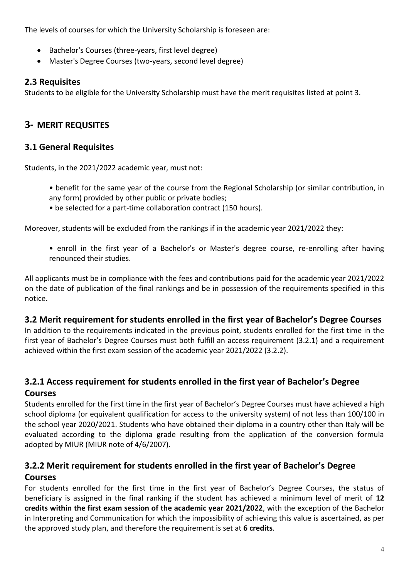The levels of courses for which the University Scholarship is foreseen are:

- Bachelor's Courses (three-years, first level degree)
- Master's Degree Courses (two-years, second level degree)

#### **2.3 Requisites**

Students to be eligible for the University Scholarship must have the merit requisites listed at point 3.

# **3- MERIT REQUSITES**

## **3.1 General Requisites**

Students, in the 2021/2022 academic year, must not:

- benefit for the same year of the course from the Regional Scholarship (or similar contribution, in any form) provided by other public or private bodies;
- be selected for a part-time collaboration contract (150 hours).

Moreover, students will be excluded from the rankings if in the academic year 2021/2022 they:

• enroll in the first year of a Bachelor's or Master's degree course, re-enrolling after having renounced their studies.

All applicants must be in compliance with the fees and contributions paid for the academic year 2021/2022 on the date of publication of the final rankings and be in possession of the requirements specified in this notice.

## **3.2 Merit requirement for students enrolled in the first year of Bachelor's Degree Courses**

In addition to the requirements indicated in the previous point, students enrolled for the first time in the first year of Bachelor's Degree Courses must both fulfill an access requirement (3.2.1) and a requirement achieved within the first exam session of the academic year 2021/2022 (3.2.2).

# **3.2.1 Access requirement for students enrolled in the first year of Bachelor's Degree**

## **Courses**

Students enrolled for the first time in the first year of Bachelor's Degree Courses must have achieved a high school diploma (or equivalent qualification for access to the university system) of not less than 100/100 in the school year 2020/2021. Students who have obtained their diploma in a country other than Italy will be evaluated according to the diploma grade resulting from the application of the conversion formula adopted by MIUR (MIUR note of 4/6/2007).

## **3.2.2 Merit requirement for students enrolled in the first year of Bachelor's Degree Courses**

For students enrolled for the first time in the first year of Bachelor's Degree Courses, the status of beneficiary is assigned in the final ranking if the student has achieved a minimum level of merit of **12 credits within the first exam session of the academic year 2021/2022**, with the exception of the Bachelor in Interpreting and Communication for which the impossibility of achieving this value is ascertained, as per the approved study plan, and therefore the requirement is set at **6 credits**.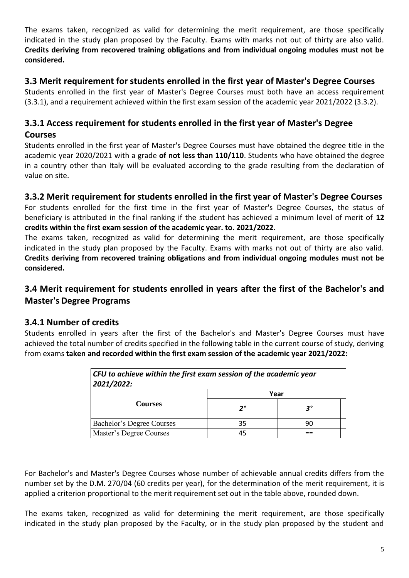The exams taken, recognized as valid for determining the merit requirement, are those specifically indicated in the study plan proposed by the Faculty. Exams with marks not out of thirty are also valid. **Credits deriving from recovered training obligations and from individual ongoing modules must not be considered.**

## **3.3 Merit requirement for students enrolled in the first year of Master's Degree Courses**

Students enrolled in the first year of Master's Degree Courses must both have an access requirement (3.3.1), and a requirement achieved within the first exam session of the academic year 2021/2022 (3.3.2).

## **3.3.1 Access requirement for students enrolled in the first year of Master's Degree**

#### **Courses**

Students enrolled in the first year of Master's Degree Courses must have obtained the degree title in the academic year 2020/2021 with a grade **of not less than 110/110**. Students who have obtained the degree in a country other than Italy will be evaluated according to the grade resulting from the declaration of value on site.

## **3.3.2 Merit requirement for students enrolled in the first year of Master's Degree Courses**

For students enrolled for the first time in the first year of Master's Degree Courses, the status of beneficiary is attributed in the final ranking if the student has achieved a minimum level of merit of **12 credits within the first exam session of the academic year. to. 2021/2022**.

The exams taken, recognized as valid for determining the merit requirement, are those specifically indicated in the study plan proposed by the Faculty. Exams with marks not out of thirty are also valid. **Credits deriving from recovered training obligations and from individual ongoing modules must not be considered.**

## **3.4 Merit requirement for students enrolled in years after the first of the Bachelor's and Master's Degree Programs**

## **3.4.1 Number of credits**

Students enrolled in years after the first of the Bachelor's and Master's Degree Courses must have achieved the total number of credits specified in the following table in the current course of study, deriving from exams **taken and recorded within the first exam session of the academic year 2021/2022:**

| CFU to achieve within the first exam session of the academic year<br>2021/2022: |      |    |  |
|---------------------------------------------------------------------------------|------|----|--|
|                                                                                 | Year |    |  |
| <b>Courses</b>                                                                  | 2°   | 3° |  |
| Bachelor's Degree Courses                                                       | 35   | 90 |  |
| Master's Degree Courses                                                         | 45   |    |  |

For Bachelor's and Master's Degree Courses whose number of achievable annual credits differs from the number set by the D.M. 270/04 (60 credits per year), for the determination of the merit requirement, it is applied a criterion proportional to the merit requirement set out in the table above, rounded down.

The exams taken, recognized as valid for determining the merit requirement, are those specifically indicated in the study plan proposed by the Faculty, or in the study plan proposed by the student and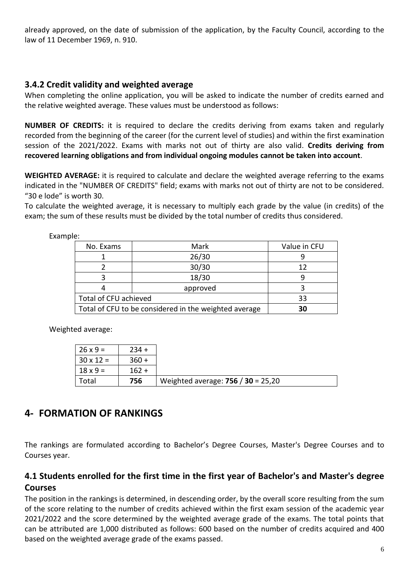already approved, on the date of submission of the application, by the Faculty Council, according to the law of 11 December 1969, n. 910.

#### **3.4.2 Credit validity and weighted average**

When completing the online application, you will be asked to indicate the number of credits earned and the relative weighted average. These values must be understood as follows:

**NUMBER OF CREDITS:** it is required to declare the credits deriving from exams taken and regularly recorded from the beginning of the career (for the current level of studies) and within the first examination session of the 2021/2022. Exams with marks not out of thirty are also valid. **Credits deriving from recovered learning obligations and from individual ongoing modules cannot be taken into account**.

**WEIGHTED AVERAGE:** it is required to calculate and declare the weighted average referring to the exams indicated in the "NUMBER OF CREDITS" field; exams with marks not out of thirty are not to be considered. "30 e lode" is worth 30.

To calculate the weighted average, it is necessary to multiply each grade by the value (in credits) of the exam; the sum of these results must be divided by the total number of credits thus considered.

| No. Exams             | Mark                                                  | Value in CFU |
|-----------------------|-------------------------------------------------------|--------------|
|                       | 26/30                                                 |              |
|                       | 30/30                                                 | 12           |
|                       | 18/30                                                 |              |
|                       | approved                                              |              |
| Total of CFU achieved |                                                       | 33           |
|                       | Total of CFU to be considered in the weighted average | 30           |

Example:

Weighted average:

| $26 \times 9 =$  | $234 +$ |                                      |
|------------------|---------|--------------------------------------|
| $30 \times 12 =$ | $360 +$ |                                      |
| $18 \times 9 =$  | $162 +$ |                                      |
| Total            | 756     | Weighted average: $756 / 30 = 25,20$ |

# **4- FORMATION OF RANKINGS**

The rankings are formulated according to Bachelor's Degree Courses, Master's Degree Courses and to Courses year.

## **4.1 Students enrolled for the first time in the first year of Bachelor's and Master's degree Courses**

The position in the rankings is determined, in descending order, by the overall score resulting from the sum of the score relating to the number of credits achieved within the first exam session of the academic year 2021/2022 and the score determined by the weighted average grade of the exams. The total points that can be attributed are 1,000 distributed as follows: 600 based on the number of credits acquired and 400 based on the weighted average grade of the exams passed.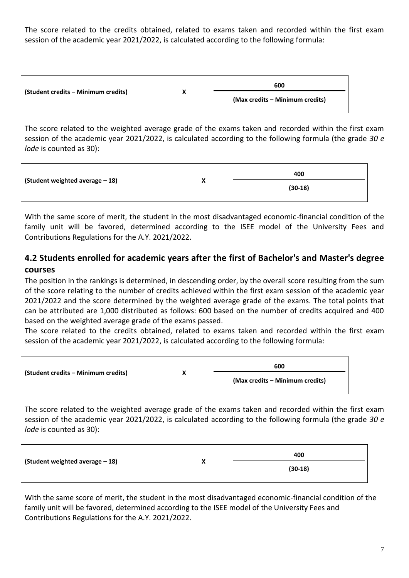The score related to the credits obtained, related to exams taken and recorded within the first exam session of the academic year 2021/2022, is calculated according to the following formula:

|                                     |   | 600                             |
|-------------------------------------|---|---------------------------------|
| (Student credits – Minimum credits) | х | (Max credits – Minimum credits) |

The score related to the weighted average grade of the exams taken and recorded within the first exam session of the academic year 2021/2022, is calculated according to the following formula (the grade *30 e lode* is counted as 30):

|                                 | 400<br>v |           |
|---------------------------------|----------|-----------|
| (Student weighted average - 18) | Λ        | $(30-18)$ |

With the same score of merit, the student in the most disadvantaged economic-financial condition of the family unit will be favored, determined according to the ISEE model of the University Fees and Contributions Regulations for the A.Y. 2021/2022.

## **4.2 Students enrolled for academic years after the first of Bachelor's and Master's degree courses**

The position in the rankings is determined, in descending order, by the overall score resulting from the sum of the score relating to the number of credits achieved within the first exam session of the academic year 2021/2022 and the score determined by the weighted average grade of the exams. The total points that can be attributed are 1,000 distributed as follows: 600 based on the number of credits acquired and 400 based on the weighted average grade of the exams passed.

The score related to the credits obtained, related to exams taken and recorded within the first exam session of the academic year 2021/2022, is calculated according to the following formula:

|                                     | 600                             |
|-------------------------------------|---------------------------------|
| (Student credits – Minimum credits) | (Max credits – Minimum credits) |

The score related to the weighted average grade of the exams taken and recorded within the first exam session of the academic year 2021/2022, is calculated according to the following formula (the grade *30 e lode* is counted as 30):

| (Student weighted average - 18) | v | 400       |
|---------------------------------|---|-----------|
|                                 |   | $(30-18)$ |

With the same score of merit, the student in the most disadvantaged economic-financial condition of the family unit will be favored, determined according to the ISEE model of the University Fees and Contributions Regulations for the A.Y. 2021/2022.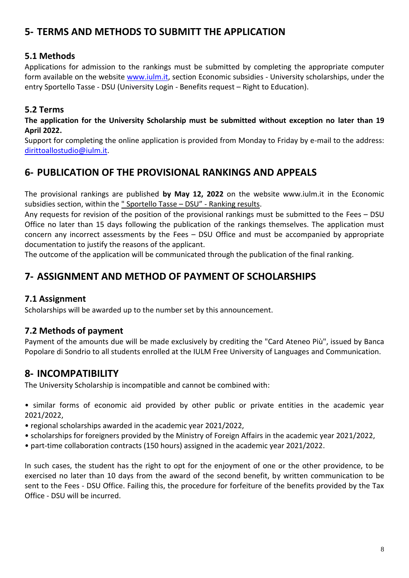# **5- TERMS AND METHODS TO SUBMITT THE APPLICATION**

## **5.1 Methods**

Applications for admission to the rankings must be submitted by completing the appropriate computer form available on the website [www.iulm.it,](http://www.iulm.it/) section Economic subsidies - University scholarships, under the entry Sportello Tasse - DSU (University Login - Benefits request – Right to Education).

## **5.2 Terms**

**The application for the University Scholarship must be submitted without exception no later than 19 April 2022.**

Support for completing the online application is provided from Monday to Friday by e-mail to the address: [dirittoallostudio@iulm.it.](mailto:dirittoallostudio@iulm.it)

# **6- PUBLICATION OF THE PROVISIONAL RANKINGS AND APPEALS**

The provisional rankings are published **by May 12, 2022** on the website www.iulm.it in the Economic subsidies section, within the " Sportello Tasse – DSU" - Ranking results.

Any requests for revision of the position of the provisional rankings must be submitted to the Fees – DSU Office no later than 15 days following the publication of the rankings themselves. The application must concern any incorrect assessments by the Fees – DSU Office and must be accompanied by appropriate documentation to justify the reasons of the applicant.

The outcome of the application will be communicated through the publication of the final ranking.

# **7- ASSIGNMENT AND METHOD OF PAYMENT OF SCHOLARSHIPS**

## **7.1 Assignment**

Scholarships will be awarded up to the number set by this announcement.

## **7.2 Methods of payment**

Payment of the amounts due will be made exclusively by crediting the "Card Ateneo Più", issued by Banca Popolare di Sondrio to all students enrolled at the IULM Free University of Languages and Communication.

# **8- INCOMPATIBILITY**

The University Scholarship is incompatible and cannot be combined with:

• similar forms of economic aid provided by other public or private entities in the academic year 2021/2022,

• regional scholarships awarded in the academic year 2021/2022,

- scholarships for foreigners provided by the Ministry of Foreign Affairs in the academic year 2021/2022,
- part-time collaboration contracts (150 hours) assigned in the academic year 2021/2022.

In such cases, the student has the right to opt for the enjoyment of one or the other providence, to be exercised no later than 10 days from the award of the second benefit, by written communication to be sent to the Fees - DSU Office. Failing this, the procedure for forfeiture of the benefits provided by the Tax Office - DSU will be incurred.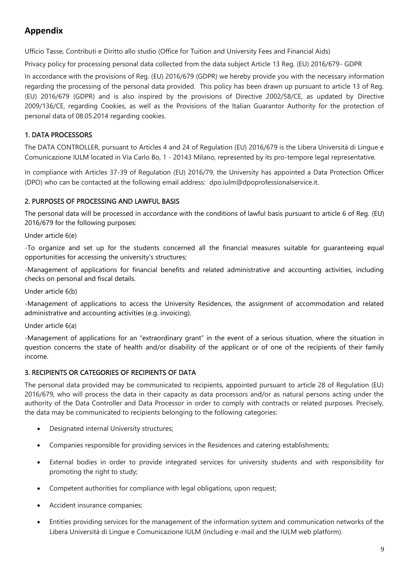# **Appendix**

Ufficio Tasse, Contributi e Diritto allo studio (Office for Tuition and University Fees and Financial Aids)

Privacy policy for processing personal data collected from the data subject Article 13 Reg. (EU) 2016/679- GDPR

In accordance with the provisions of Reg. (EU) 2016/679 (GDPR) we hereby provide you with the necessary information regarding the processing of the personal data provided. This policy has been drawn up pursuant to article 13 of Reg. (EU) 2016/679 (GDPR) and is also inspired by the provisions of Directive 2002/58/CE, as updated by [Directive](http://eur-lex.europa.eu/LexUriServ/LexUriServ.do?uri=OJ:L:2009:337:0011:0036:it:PDF)  [2009/136/CE,](http://eur-lex.europa.eu/LexUriServ/LexUriServ.do?uri=OJ:L:2009:337:0011:0036:it:PDF) regarding Cookies, as well as the Provisions of the Italian Guarantor Authority for the protection of personal data of 08.05.2014 regarding cookies.

#### 1. DATA PROCESSORS

The DATA CONTROLLER, pursuant to Articles 4 and 24 of Regulation (EU) 2016/679 is the Libera Università di Lingue e Comunicazione IULM located in Via Carlo Bo, 1 - 20143 Milano, represented by its pro-tempore legal representative.

In compliance with Articles 37-39 of Regulation (EU) 2016/79, the University has appointed a Data Protection Officer (DPO) who can be contacted at the following email address: [dpo.iulm@dpoprofessionalservice.it.](mailto:dpo.iulm@dpoprofessionalservice.it)

#### 2. PURPOSES OF PROCESSING AND LAWFUL BASIS

The personal data will be processed in accordance with the conditions of lawful basis pursuant to article 6 of Reg. (EU) 2016/679 for the following purposes:

Under article 6(e)

-To organize and set up for the students concerned all the financial measures suitable for guaranteeing equal opportunities for accessing the university's structures;

-Management of applications for financial benefits and related administrative and accounting activities, including checks on personal and fiscal details.

Under article 6(b)

-Management of applications to access the University Residences, the assignment of accommodation and related administrative and accounting activities (e.g. invoicing).

Under article 6(a)

-Management of applications for an "extraordinary grant" in the event of a serious situation, where the situation in question concerns the state of health and/or disability of the applicant or of one of the recipients of their family income.

#### 3. RECIPIENTS OR CATEGORIES OF RECIPIENTS OF DATA

The personal data provided may be communicated to recipients, appointed pursuant to article 28 of Regulation (EU) 2016/679, who will process the data in their capacity as data processors and/or as natural persons acting under the authority of the Data Controller and Data Processor in order to comply with contracts or related purposes. Precisely, the data may be communicated to recipients belonging to the following categories:

- Designated internal University structures;
- Companies responsible for providing services in the Residences and catering establishments;
- External bodies in order to provide integrated services for university students and with responsibility for promoting the right to study;
- Competent authorities for compliance with legal obligations, upon request;
- Accident insurance companies;
- Entities providing services for the management of the information system and communication networks of the Libera Università di Lingue e Comunicazione IULM (including e-mail and the IULM web platform).